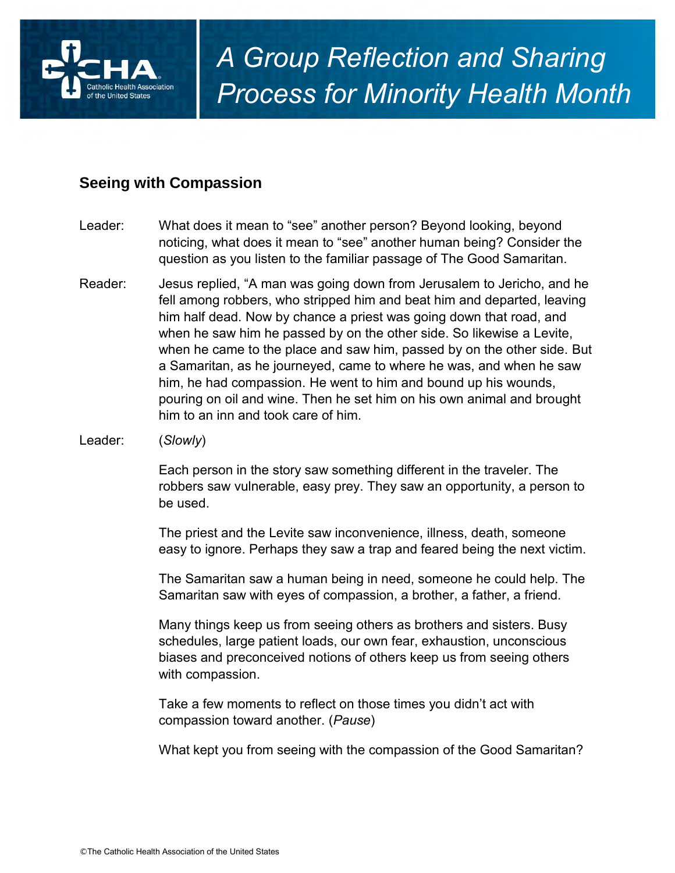

## **Seeing with Compassion**

- Leader: What does it mean to "see" another person? Beyond looking, beyond noticing, what does it mean to "see" another human being? Consider the question as you listen to the familiar passage of The Good Samaritan.
- Reader: Jesus replied, "A man was going down from Jerusalem to Jericho, and he fell among robbers, who stripped him and beat him and departed, leaving him half dead. Now by chance a priest was going down that road, and when he saw him he passed by on the other side. So likewise a Levite, when he came to the place and saw him, passed by on the other side. But a Samaritan, as he journeyed, came to where he was, and when he saw him, he had compassion. He went to him and bound up his wounds, pouring on oil and wine. Then he set him on his own animal and brought him to an inn and took care of him.
- Leader: (*Slowly*)

Each person in the story saw something different in the traveler. The robbers saw vulnerable, easy prey. They saw an opportunity, a person to be used.

The priest and the Levite saw inconvenience, illness, death, someone easy to ignore. Perhaps they saw a trap and feared being the next victim.

The Samaritan saw a human being in need, someone he could help. The Samaritan saw with eyes of compassion, a brother, a father, a friend.

Many things keep us from seeing others as brothers and sisters. Busy schedules, large patient loads, our own fear, exhaustion, unconscious biases and preconceived notions of others keep us from seeing others with compassion.

Take a few moments to reflect on those times you didn't act with compassion toward another. (*Pause*)

What kept you from seeing with the compassion of the Good Samaritan?